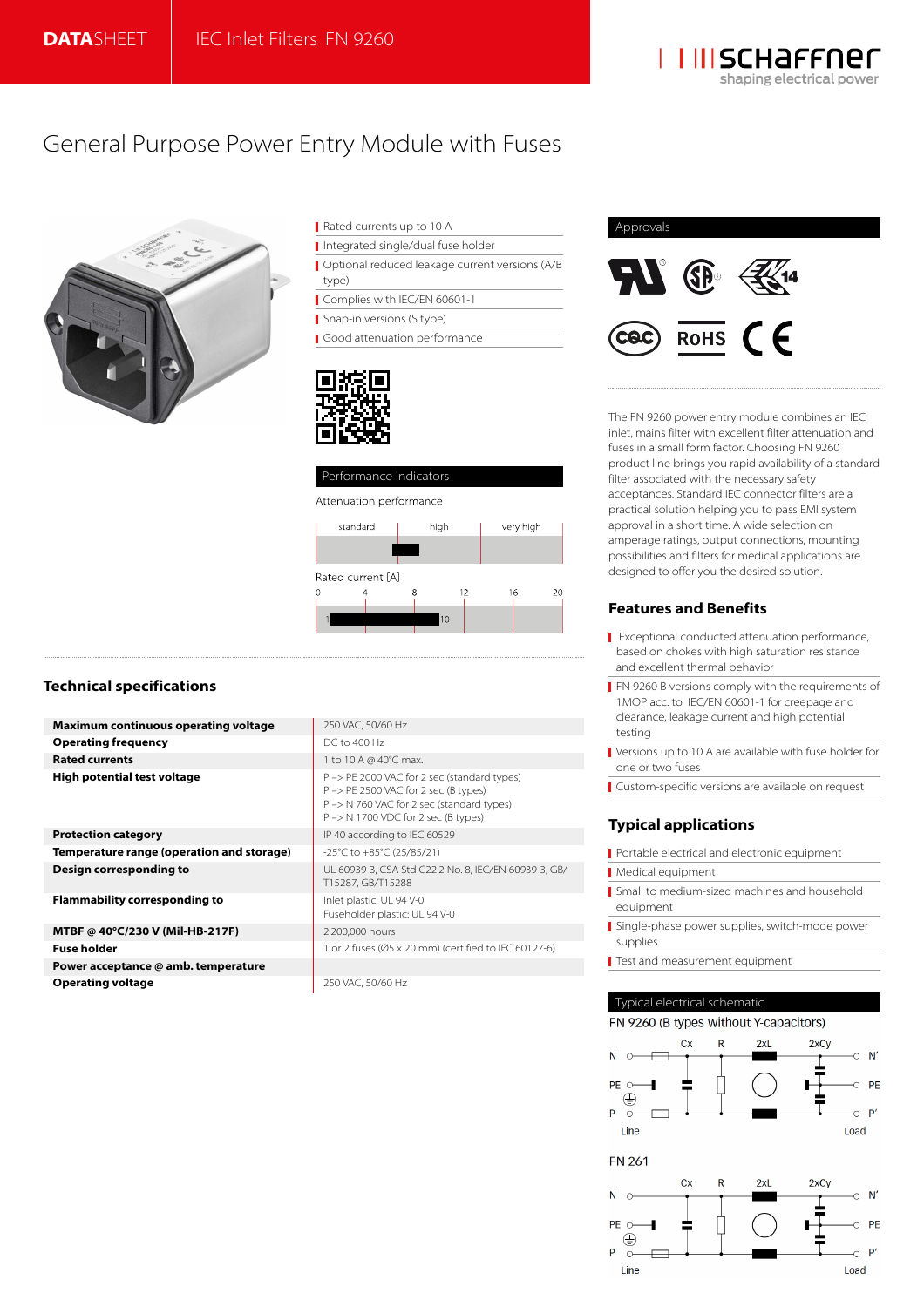

# General Purpose Power Entry Module with Fuses



- Integrated single/dual fuse holder Optional reduced leakage current versions (A/B type)
- Complies with IEC/EN 60601-1

Snap-in versions (S type)

Good attenuation performance





#### Attenuation performance



# **Technical specifications**

| <b>Maximum continuous operating voltage</b> | 250 VAC, 50/60 Hz                                                                                                                                                       |
|---------------------------------------------|-------------------------------------------------------------------------------------------------------------------------------------------------------------------------|
| <b>Operating frequency</b>                  | DC to 400 Hz                                                                                                                                                            |
| <b>Rated currents</b>                       | 1 to 10 A @ 40°C max.                                                                                                                                                   |
| <b>High potential test voltage</b>          | P -> PE 2000 VAC for 2 sec (standard types)<br>P -> PE 2500 VAC for 2 sec (B types)<br>P -> N 760 VAC for 2 sec (standard types)<br>P -> N 1700 VDC for 2 sec (B types) |
| <b>Protection category</b>                  | IP 40 according to IEC 60529                                                                                                                                            |
| Temperature range (operation and storage)   | -25°C to +85°C (25/85/21)                                                                                                                                               |
| Design corresponding to                     | UL 60939-3, CSA Std C22.2 No. 8, IEC/EN 60939-3, GB/<br>T15287, GB/T15288                                                                                               |
| <b>Flammability corresponding to</b>        | Inlet plastic: UL 94 V-0<br>Fuseholder plastic: UL 94 V-0                                                                                                               |
| MTBF @ 40°C/230 V (Mil-HB-217F)             | 2,200,000 hours                                                                                                                                                         |
| <b>Fuse holder</b>                          | 1 or 2 fuses (Ø5 x 20 mm) (certified to IEC 60127-6)                                                                                                                    |
| Power acceptance @ amb. temperature         |                                                                                                                                                                         |
| <b>Operating voltage</b>                    | 250 VAC, 50/60 Hz                                                                                                                                                       |



The FN 9260 power entry module combines an IEC inlet, mains filter with excellent filter attenuation and fuses in a small form factor. Choosing FN 9260 product line brings you rapid availability of a standard filter associated with the necessary safety acceptances. Standard IEC connector filters are a practical solution helping you to pass EMI system approval in a short time. A wide selection on amperage ratings, output connections, mounting possibilities and filters for medical applications are designed to offer you the desired solution.

# **Features and Benefits**

- **Exceptional conducted attenuation performance,** based on chokes with high saturation resistance and excellent thermal behavior
- **FN 9260 B versions comply with the requirements of** 1MOP acc. to IEC/EN 60601-1 for creepage and clearance, leakage current and high potential testing
- Versions up to 10 A are available with fuse holder for one or two fuses
- Custom-specific versions are available on request

# **Typical applications**

- Portable electrical and electronic equipment
- Medical equipment
- Small to medium-sized machines and household equipment
- Single-phase power supplies, switch-mode power supplies
- Test and measurement equipment

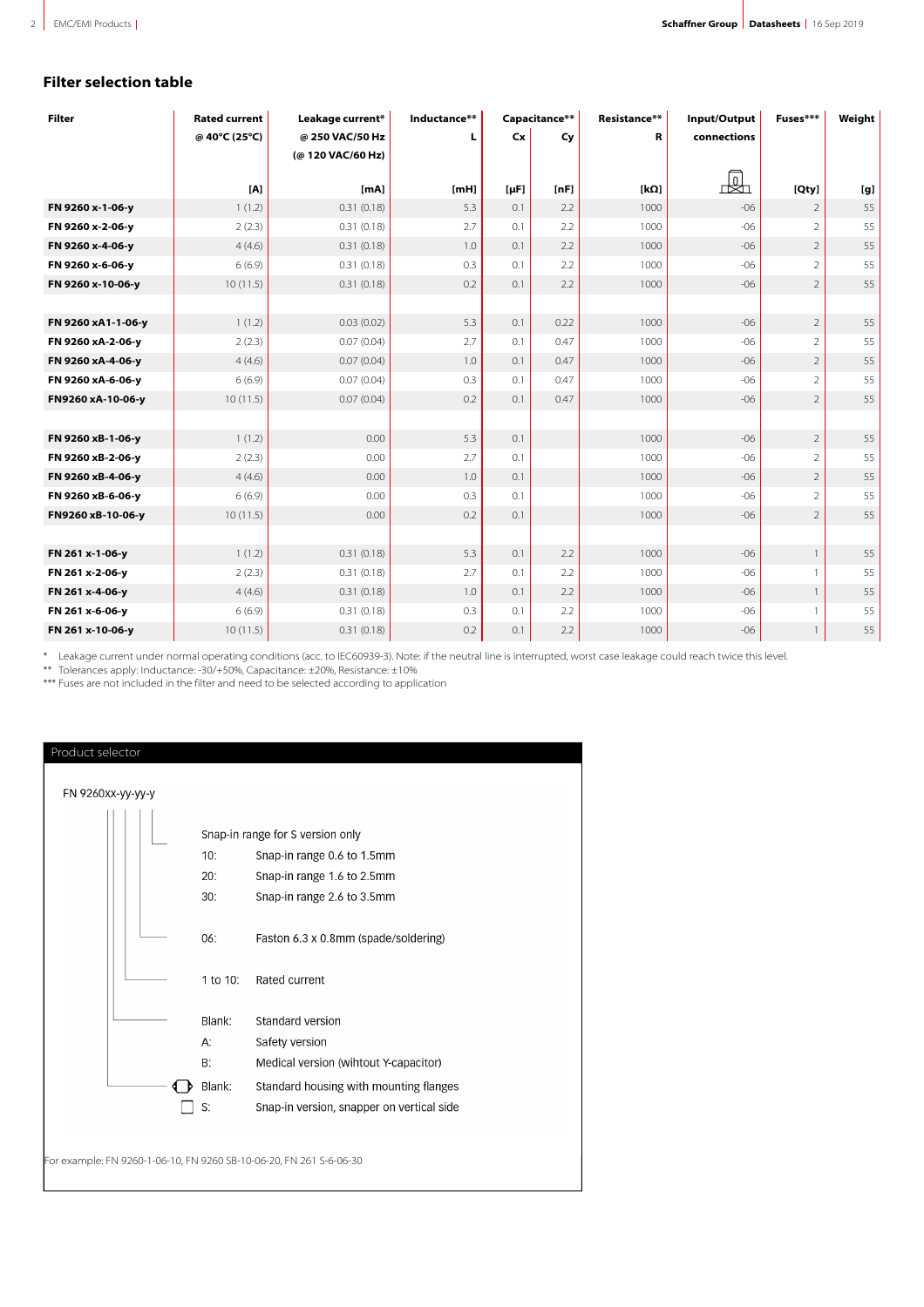# **Filter selection table**

| <b>Filter</b>      | <b>Rated current</b> | Leakage current*  | Inductance** | Capacitance** |      | Resistance** | Input/Output | Fuses***       | Weight |
|--------------------|----------------------|-------------------|--------------|---------------|------|--------------|--------------|----------------|--------|
|                    | @ 40°C (25°C)        | @ 250 VAC/50 Hz   | L            | Cx            | Cy   | R            | connections  |                |        |
|                    |                      | (@ 120 VAC/60 Hz) |              |               |      |              |              |                |        |
|                    | [A]                  | [mA]              | [mH]         | $[\mu F]$     | [nF] | [kΩ]         | 丛            | [Qty]          | [g]    |
| FN 9260 x-1-06-y   | 1(1.2)               | 0.31(0.18)        | 5.3          | 0.1           | 2.2  | 1000         | $-06$        | $\overline{2}$ | 55     |
| FN 9260 x-2-06-y   | 2(2.3)               | 0.31(0.18)        | 2.7          | 0.1           | 2.2  | 1000         | $-06$        | $\overline{2}$ | 55     |
| FN 9260 x-4-06-y   | 4(4.6)               | 0.31(0.18)        | 1.0          | 0.1           | 2.2  | 1000         | $-06$        | $\overline{2}$ | 55     |
| FN 9260 x-6-06-y   | 6(6.9)               | 0.31(0.18)        | 0.3          | 0.1           | 2.2  | 1000         | $-06$        | $\overline{2}$ | 55     |
| FN 9260 x-10-06-y  | 10(11.5)             | 0.31(0.18)        | 0.2          | 0.1           | 2.2  | 1000         | $-06$        | $\overline{2}$ | 55     |
|                    |                      |                   |              |               |      |              |              |                |        |
| FN 9260 xA1-1-06-y | 1(1.2)               | 0.03(0.02)        | 5.3          | 0.1           | 0.22 | 1000         | $-06$        | $\overline{2}$ | 55     |
| FN 9260 xA-2-06-y  | 2(2.3)               | 0.07(0.04)        | 2.7          | 0.1           | 0.47 | 1000         | $-06$        | $\overline{2}$ | 55     |
| FN 9260 xA-4-06-y  | 4(4.6)               | 0.07(0.04)        | 1.0          | 0.1           | 0.47 | 1000         | $-06$        | $\overline{2}$ | 55     |
| FN 9260 xA-6-06-y  | 6(6.9)               | 0.07(0.04)        | 0.3          | 0.1           | 0.47 | 1000         | $-06$        | $\overline{2}$ | 55     |
| FN9260 xA-10-06-y  | 10(11.5)             | 0.07(0.04)        | 0.2          | 0.1           | 0.47 | 1000         | $-06$        | $\overline{2}$ | 55     |
|                    |                      |                   |              |               |      |              |              |                |        |
| FN 9260 xB-1-06-y  | 1(1.2)               | 0.00              | 5.3          | 0.1           |      | 1000         | $-06$        | $\overline{2}$ | 55     |
| FN 9260 xB-2-06-y  | 2(2.3)               | 0.00              | 2.7          | 0.1           |      | 1000         | $-06$        | $\overline{2}$ | 55     |
| FN 9260 xB-4-06-y  | 4(4.6)               | 0.00              | 1.0          | 0.1           |      | 1000         | $-06$        | $\overline{2}$ | 55     |
| FN 9260 xB-6-06-y  | 6(6.9)               | 0.00              | 0.3          | 0.1           |      | 1000         | $-06$        | $\overline{2}$ | 55     |
| FN9260 xB-10-06-y  | 10(11.5)             | 0.00              | 0.2          | 0.1           |      | 1000         | $-06$        | $\overline{2}$ | 55     |
|                    |                      |                   |              |               |      |              |              |                |        |
| FN 261 x-1-06-y    | 1(1.2)               | 0.31(0.18)        | 5.3          | 0.1           | 2.2  | 1000         | $-06$        | $\mathbf{1}$   | 55     |
| FN 261 x-2-06-y    | 2(2.3)               | 0.31(0.18)        | 2.7          | 0.1           | 2.2  | 1000         | $-06$        |                | 55     |
| FN 261 x-4-06-y    | 4(4.6)               | 0.31(0.18)        | 1.0          | 0.1           | 2.2  | 1000         | $-06$        |                | 55     |
| FN 261 x-6-06-y    | 6(6.9)               | 0.31(0.18)        | 0.3          | 0.1           | 2.2  | 1000         | $-06$        |                | 55     |
| FN 261 x-10-06-y   | 10(11.5)             | 0.31(0.18)        | 0.2          | 0.1           | 2.2  | 1000         | $-06$        |                | 55     |

\*\*\* Leakage current under normal operating conditions (acc. to IEC60939-3). Note: if the neutral line is interrupted, worst case leakage could reach twice this level.

\*\*\* Tolerances apply: Inductance: -30/+50%, Capacitance: ±20%, Resistance: ±10%

\*\*\* Fuses are not included in the filter and need to be selected according to application

| FN 9260xx-yy-yy-y                                                   |  |          |                                           |  |  |
|---------------------------------------------------------------------|--|----------|-------------------------------------------|--|--|
|                                                                     |  |          | Snap-in range for S version only          |  |  |
|                                                                     |  | 10:      |                                           |  |  |
|                                                                     |  |          | Snap-in range 0.6 to 1.5mm                |  |  |
|                                                                     |  | 20:      | Snap-in range 1.6 to 2.5mm                |  |  |
|                                                                     |  | 30:      | Snap-in range 2.6 to 3.5mm                |  |  |
|                                                                     |  | 06:      | Faston 6.3 x 0.8mm (spade/soldering)      |  |  |
|                                                                     |  | 1 to 10: | Rated current                             |  |  |
|                                                                     |  | Blank:   | Standard version                          |  |  |
|                                                                     |  | A:       | Safety version                            |  |  |
|                                                                     |  | В.       | Medical version (wihtout Y-capacitor)     |  |  |
|                                                                     |  | Blank:   | Standard housing with mounting flanges    |  |  |
|                                                                     |  | S:       | Snap-in version, snapper on vertical side |  |  |
|                                                                     |  |          |                                           |  |  |
|                                                                     |  |          |                                           |  |  |
| For example: FN 9260-1-06-10, FN 9260 SB-10-06-20, FN 261 S-6-06-30 |  |          |                                           |  |  |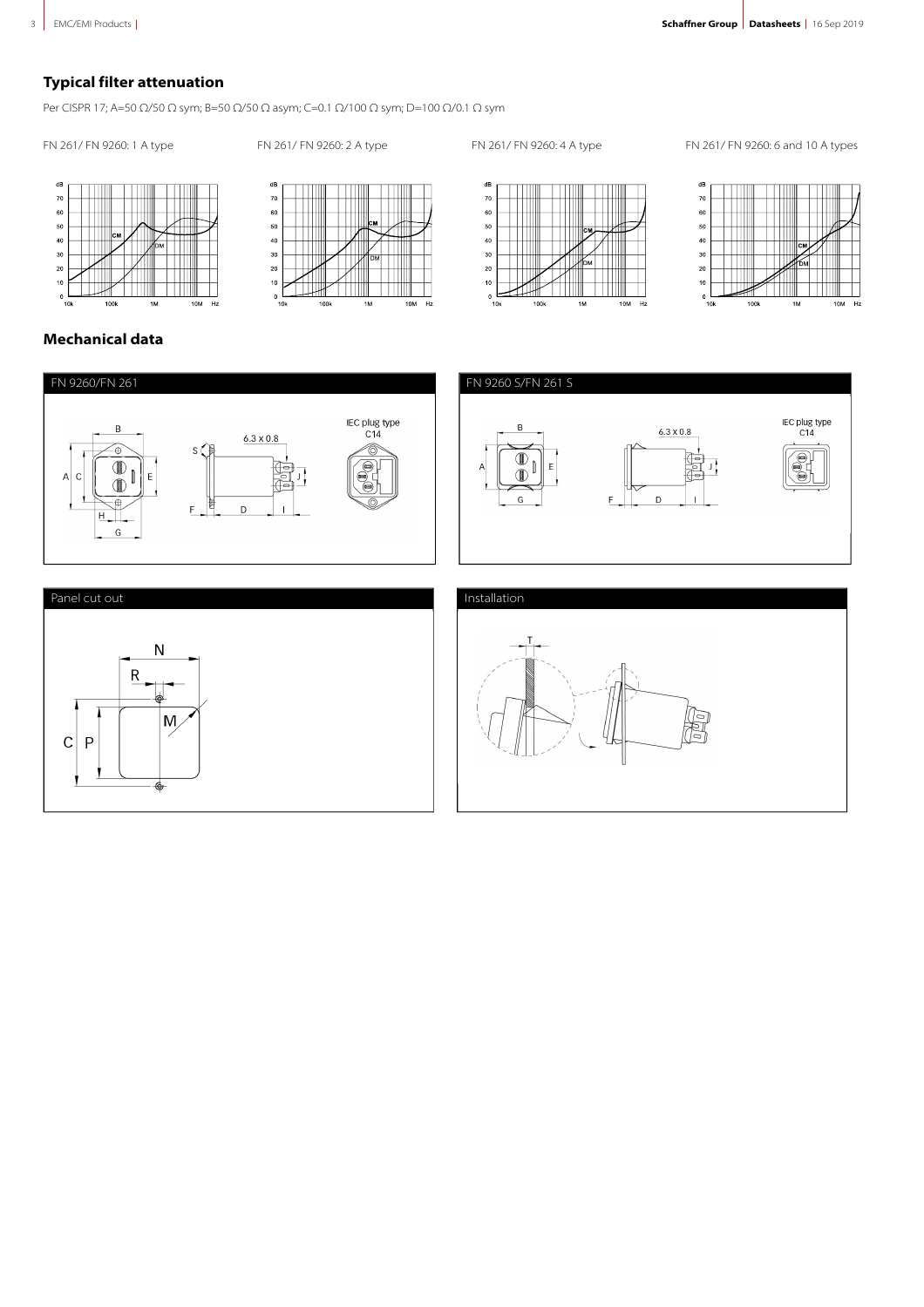# **Typical filter attenuation**

Per CISPR 17; A=50 Ω/50 Ω sym; B=50 Ω/50 Ω asym; C=0.1 Ω/100 Ω sym; D=100 Ω/0.1 Ω sym

FN 261/ FN 9260: 1 A type FN 261/ FN 9260: 2 A type FN 261/ FN 9260: 4 A type FN 261/ FN 9260: 6 and 10 A types









# **Mechanical data**

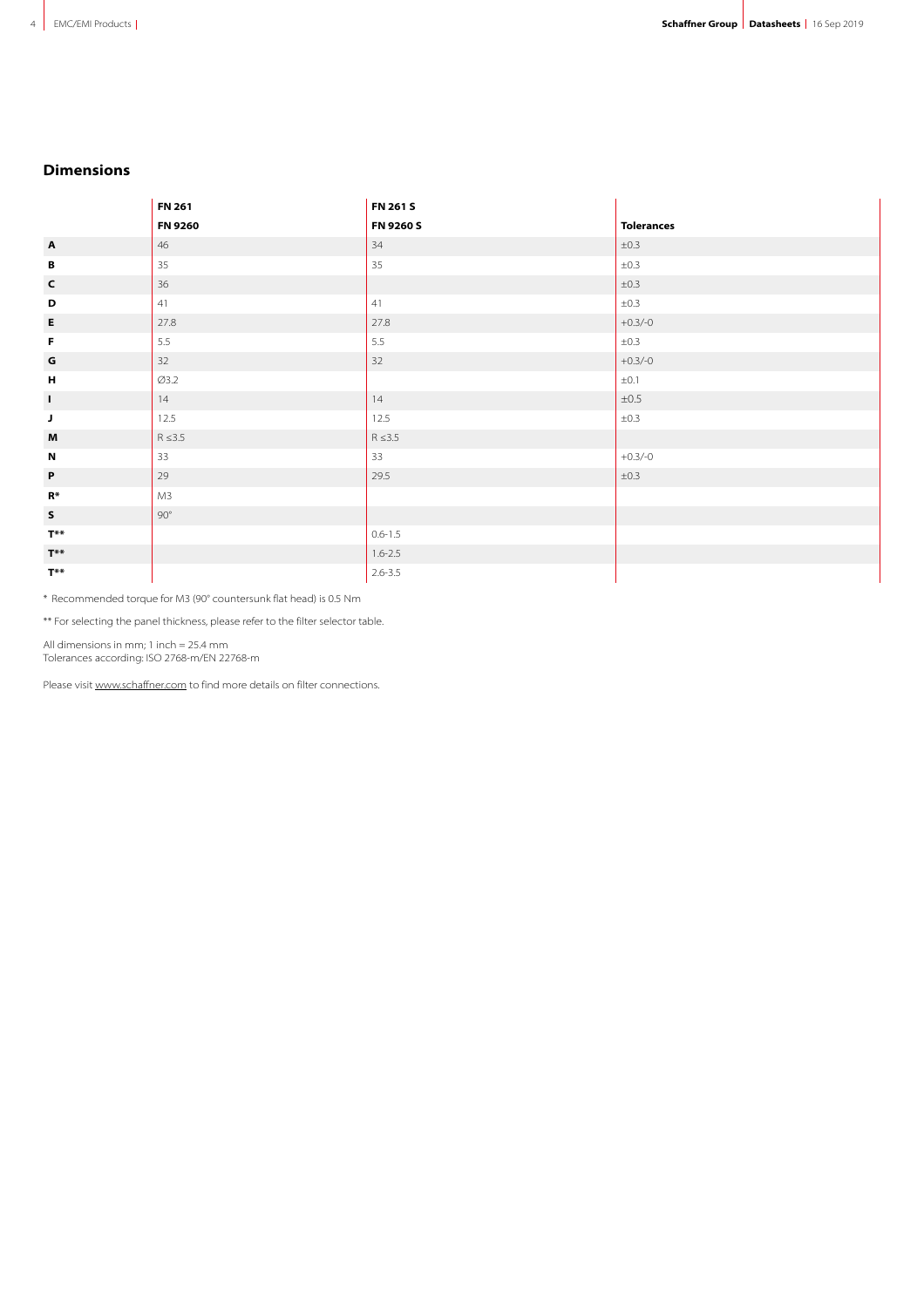# **Dimensions**

|                           | <b>FN 261</b> | FN 261 S     |                   |
|---------------------------|---------------|--------------|-------------------|
|                           | FN 9260       | FN 9260 S    | <b>Tolerances</b> |
| $\mathbf{A}$              | 46            | 34           | ±0.3              |
| B                         | 35            | 35           | ±0.3              |
| $\mathsf{c}$              | 36            |              | ±0.3              |
| D                         | 41            | 41           | ±0.3              |
| E                         | 27.8          | 27.8         | $+0.3/-0$         |
| F                         | $5.5\,$       | $5.5\,$      | ±0.3              |
| G                         | 32            | 32           | $+0.3/-0$         |
| $\pmb{\mathsf{H}}$        | Ø3.2          |              | $\pm 0.1$         |
| $\mathbf{I}$              | 14            | 14           | $\pm 0.5$         |
| $\mathsf J$               | 12.5          | 12.5         | $\pm 0.3$         |
| $\boldsymbol{\mathsf{M}}$ | $R \leq 3.5$  | $R \leq 3.5$ |                   |
| $\boldsymbol{\mathsf{N}}$ | 33            | 33           | $+0.3/-0$         |
| $\mathsf{P}$              | 29            | 29.5         | ±0.3              |
| $R*$                      | M3            |              |                   |
| $\sf s$                   | $90^{\circ}$  |              |                   |
| $T^{\ast\ast}$            |               | $0.6 - 1.5$  |                   |
| $T^{\ast\ast}$            |               | $1.6 - 2.5$  |                   |
| $T^{**}$                  |               | $2.6 - 3.5$  |                   |

\*\*Recommended torque for M3 (90° countersunk flat head) is 0.5 Nm

\*\* For selecting the panel thickness, please refer to the filter selector table.

All dimensions in mm; 1 inch = 25.4 mm

Tolerances according: ISO 2768-m/EN 22768-m

Please visit [www.schaffner.com](https://www.schaffner.com) to find more details on filter connections.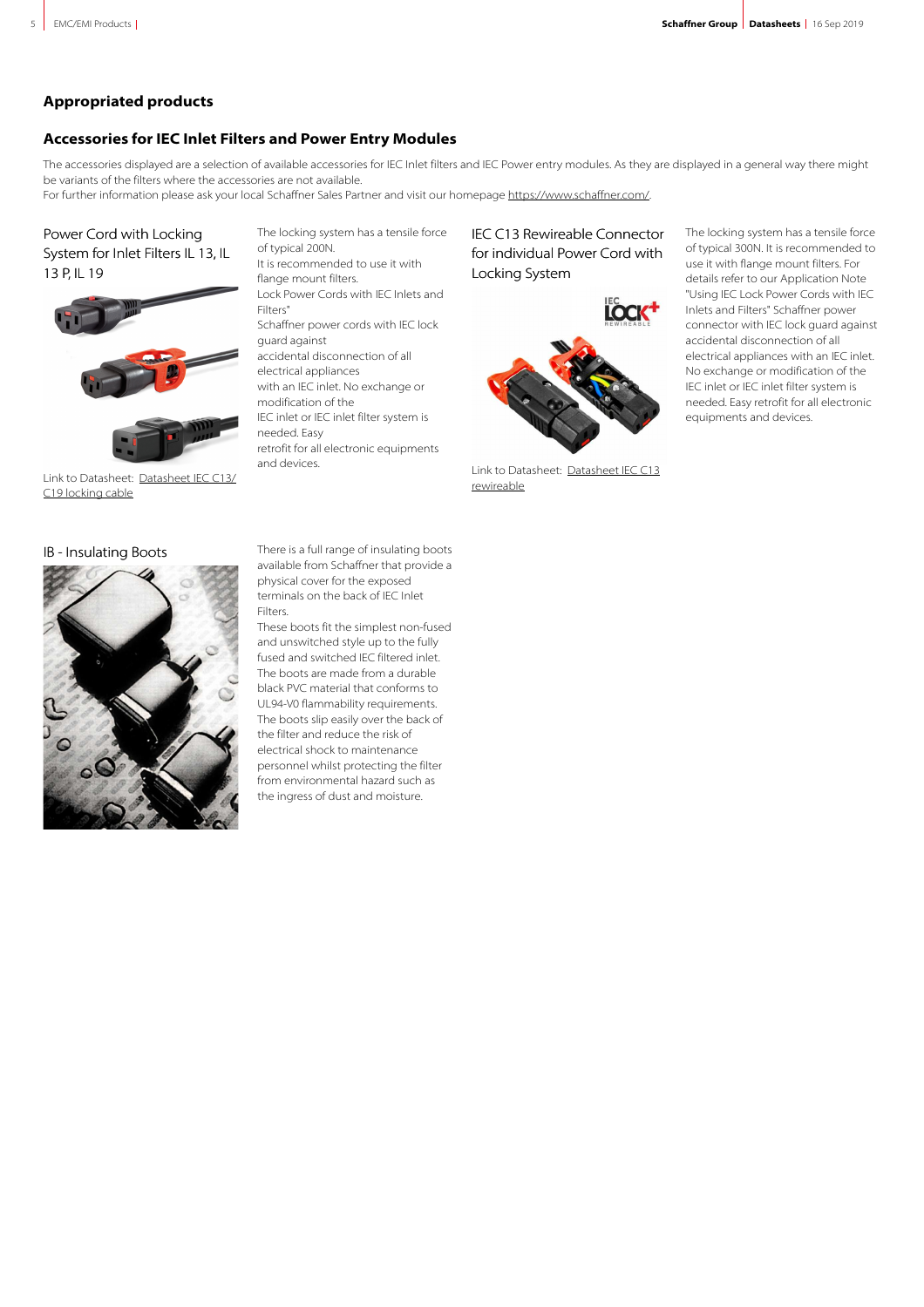# **Appropriated products**

# **Accessories for IEC Inlet Filters and Power Entry Modules**

The accessories displayed are a selection of available accessories for IEC Inlet filters and IEC Power entry modules. As they are displayed in a general way there might be variants of the filters where the accessories are not available.

For further information please ask your local Schaffner Sales Partner and visit our homepage<https://www.schaffner.com/>.

# Power Cord with Locking System for Inlet Filters IL 13, IL 13 P, IL 19



Link to Datasheet: [Datasheet IEC C13/](http://schaffner.com.local/products/download/product/datasheet/power-cord-with-locking-system-il13-il13p-il19/) [C19 locking cable](http://schaffner.com.local/products/download/product/datasheet/power-cord-with-locking-system-il13-il13p-il19/)

The locking system has a tensile force of typical 200N. It is recommended to use it with flange mount filters. Lock Power Cords with IEC Inlets and Filters" Schaffner power cords with IEC lock guard against accidental disconnection of all electrical appliances with an IEC inlet. No exchange or modification of the IEC inlet or IEC inlet filter system is needed. Easy retrofit for all electronic equipments and devices.

IEC C13 Rewireable Connector for individual Power Cord with Locking System



Link to Datasheet: [Datasheet IEC C13](http://schaffner.com.local/products/download/product/datasheet/iec-c13-rewireable-connector-for-individual-power-cord-with-locking-system/) [rewireable](http://schaffner.com.local/products/download/product/datasheet/iec-c13-rewireable-connector-for-individual-power-cord-with-locking-system/)

The locking system has a tensile force of typical 300N. It is recommended to use it with flange mount filters. For details refer to our Application Note "Using IEC Lock Power Cords with IEC Inlets and Filters" Schaffner power connector with IEC lock guard against accidental disconnection of all electrical appliances with an IEC inlet. No exchange or modification of the IEC inlet or IEC inlet filter system is needed. Easy retrofit for all electronic equipments and devices.



IB - Insulating Boots There is a full range of insulating boots available from Schaffner that provide a physical cover for the exposed terminals on the back of IEC Inlet Filters.

> These boots fit the simplest non-fused and unswitched style up to the fully fused and switched IEC filtered inlet. The boots are made from a durable black PVC material that conforms to UL94-V0 flammability requirements. The boots slip easily over the back of the filter and reduce the risk of electrical shock to maintenance personnel whilst protecting the filter from environmental hazard such as the ingress of dust and moisture.